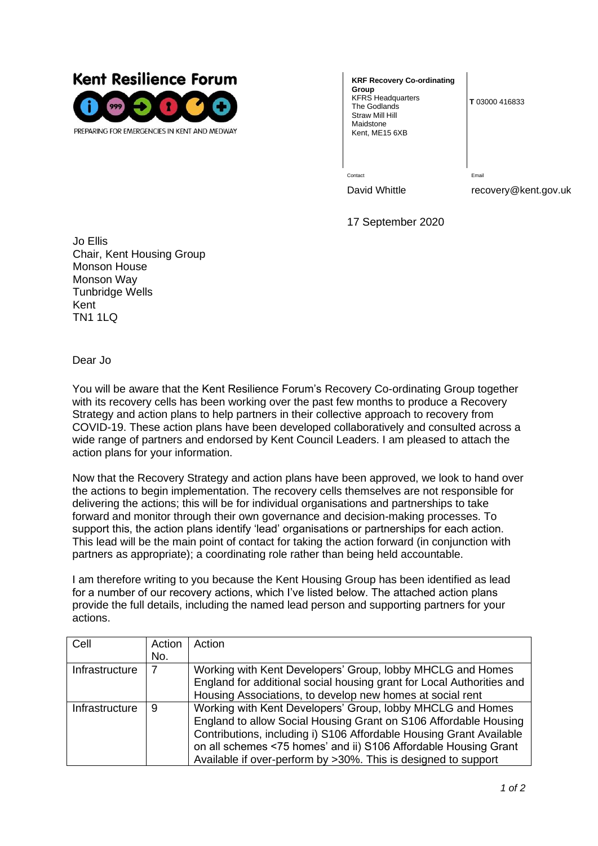

**KRF Recovery Co-ordinating Group** KFRS Headquarters The Godlands Straw Mill Hill Maidstone Kent, ME15 6XB

**T** 03000 416833

Contact **Email** 

David Whittle recovery@kent.gov.uk

17 September 2020

Jo Ellis Chair, Kent Housing Group Monson House Monson Way Tunbridge Wells Kent TN1 1LQ

Dear Jo

You will be aware that the Kent Resilience Forum's Recovery Co-ordinating Group together with its recovery cells has been working over the past few months to produce a Recovery Strategy and action plans to help partners in their collective approach to recovery from COVID-19. These action plans have been developed collaboratively and consulted across a wide range of partners and endorsed by Kent Council Leaders. I am pleased to attach the action plans for your information.

Now that the Recovery Strategy and action plans have been approved, we look to hand over the actions to begin implementation. The recovery cells themselves are not responsible for delivering the actions; this will be for individual organisations and partnerships to take forward and monitor through their own governance and decision-making processes. To support this, the action plans identify 'lead' organisations or partnerships for each action. This lead will be the main point of contact for taking the action forward (in conjunction with partners as appropriate); a coordinating role rather than being held accountable.

I am therefore writing to you because the Kent Housing Group has been identified as lead for a number of our recovery actions, which I've listed below. The attached action plans provide the full details, including the named lead person and supporting partners for your actions.

| Cell           | Action | Action                                                                |
|----------------|--------|-----------------------------------------------------------------------|
|                | No.    |                                                                       |
| Infrastructure |        | Working with Kent Developers' Group, lobby MHCLG and Homes            |
|                |        | England for additional social housing grant for Local Authorities and |
|                |        | Housing Associations, to develop new homes at social rent             |
| Infrastructure | 9      | Working with Kent Developers' Group, lobby MHCLG and Homes            |
|                |        | England to allow Social Housing Grant on S106 Affordable Housing      |
|                |        | Contributions, including i) S106 Affordable Housing Grant Available   |
|                |        | on all schemes <75 homes' and ii) S106 Affordable Housing Grant       |
|                |        | Available if over-perform by >30%. This is designed to support        |